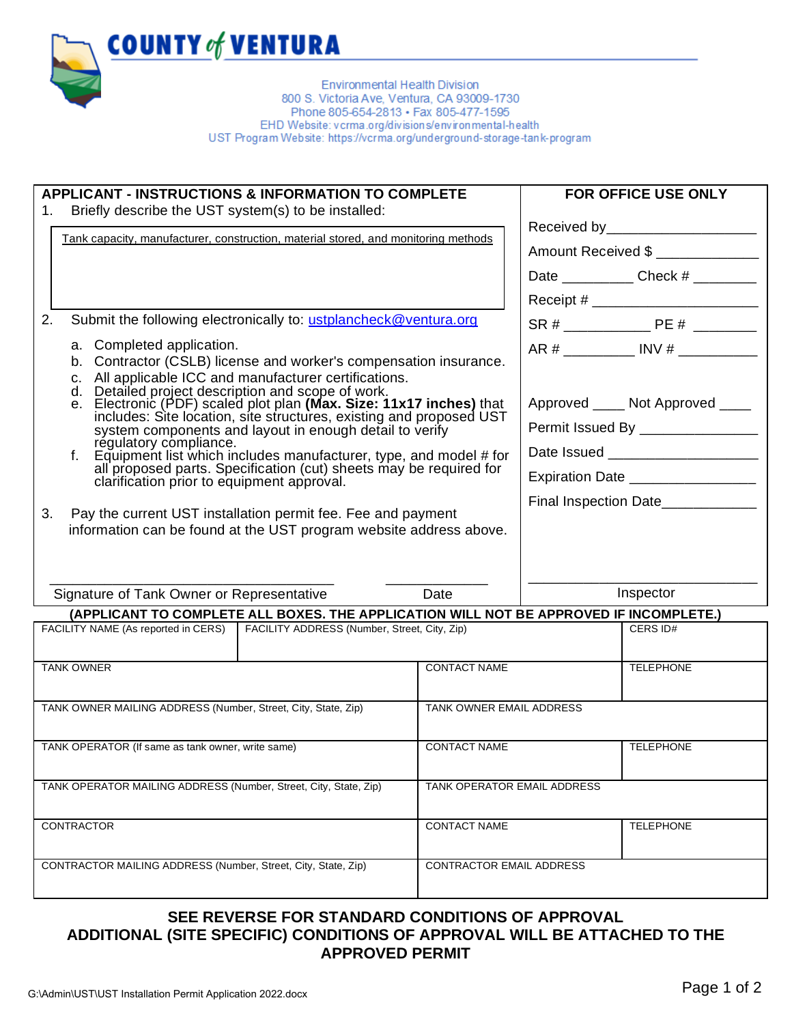## **PERMIT APPLICATION FOR INSTALLATION UNDERGROUND HAZARDOUS MATERIAL STORAGE TANK**

| <b>APPLICANT - INSTRUCTIONS &amp; INFORMATION TO COMPLETE</b><br>Briefly describe the UST system(s) to be installed:<br>1.<br>Tank capacity, manufacturer, construction, material stored, and monitoring methods<br>2.<br>Submit the following electronically to: ustplancheck@ventura.org<br>a. Completed application.<br>b. Contractor (CSLB) license and worker's compensation insurance.<br>c. All applicable ICC and manufacturer certifications.<br>d. Detailed project description and scope of work.<br>e. Electronic (PDF) scaled plot plan (Max. Size: 11x17 inches) that<br>includes: Site location, site structures, existing and proposed UST<br>system components and layout in enough detail to verify<br>régulatory compliance. |  |                             |                                                                                                              | <b>FOR OFFICE USE ONLY</b><br>Received by ______________________<br>Amount Received \$<br>Date _______________ Check # _________<br>AR # ____________ INV # ____________<br>Approved ____ Not Approved ____<br>Permit Issued By ________________ |
|-------------------------------------------------------------------------------------------------------------------------------------------------------------------------------------------------------------------------------------------------------------------------------------------------------------------------------------------------------------------------------------------------------------------------------------------------------------------------------------------------------------------------------------------------------------------------------------------------------------------------------------------------------------------------------------------------------------------------------------------------|--|-----------------------------|--------------------------------------------------------------------------------------------------------------|--------------------------------------------------------------------------------------------------------------------------------------------------------------------------------------------------------------------------------------------------|
| Equipment list which includes manufacturer, type, and model # for<br>all proposed parts. Specification (cut) sheets may be required for<br>clarification prior to equipment approval.<br>3.<br>Pay the current UST installation permit fee. Fee and payment<br>information can be found at the UST program website address above.                                                                                                                                                                                                                                                                                                                                                                                                               |  |                             | Date Issued _______________________<br>Expiration Date _________________<br>Final Inspection Date___________ |                                                                                                                                                                                                                                                  |
| Signature of Tank Owner or Representative<br>Date<br>(APPLICANT TO COMPLETE ALL BOXES. THE APPLICATION WILL NOT BE APPROVED IF INCOMPLETE.)                                                                                                                                                                                                                                                                                                                                                                                                                                                                                                                                                                                                     |  | Inspector                   |                                                                                                              |                                                                                                                                                                                                                                                  |
| FACILITY NAME (As reported in CERS)   FACILITY ADDRESS (Number, Street, City, Zip)                                                                                                                                                                                                                                                                                                                                                                                                                                                                                                                                                                                                                                                              |  |                             |                                                                                                              | CERS ID#                                                                                                                                                                                                                                         |
| <b>TANK OWNER</b>                                                                                                                                                                                                                                                                                                                                                                                                                                                                                                                                                                                                                                                                                                                               |  | <b>CONTACT NAME</b>         |                                                                                                              | <b>TELEPHONE</b>                                                                                                                                                                                                                                 |
| TANK OWNER MAILING ADDRESS (Number, Street, City, State, Zip)                                                                                                                                                                                                                                                                                                                                                                                                                                                                                                                                                                                                                                                                                   |  | TANK OWNER EMAIL ADDRESS    |                                                                                                              |                                                                                                                                                                                                                                                  |
| TANK OPERATOR (If same as tank owner, write same)                                                                                                                                                                                                                                                                                                                                                                                                                                                                                                                                                                                                                                                                                               |  | <b>CONTACT NAME</b>         |                                                                                                              | <b>TELEPHONE</b>                                                                                                                                                                                                                                 |
| TANK OPERATOR MAILING ADDRESS (Number, Street, City, State, Zip)                                                                                                                                                                                                                                                                                                                                                                                                                                                                                                                                                                                                                                                                                |  | TANK OPERATOR EMAIL ADDRESS |                                                                                                              |                                                                                                                                                                                                                                                  |
| CONTRACTOR                                                                                                                                                                                                                                                                                                                                                                                                                                                                                                                                                                                                                                                                                                                                      |  | <b>CONTACT NAME</b>         |                                                                                                              | <b>TELEPHONE</b>                                                                                                                                                                                                                                 |
| CONTRACTOR MAILING ADDRESS (Number, Street, City, State, Zip)                                                                                                                                                                                                                                                                                                                                                                                                                                                                                                                                                                                                                                                                                   |  |                             |                                                                                                              |                                                                                                                                                                                                                                                  |

## **SEE REVERSE FOR STANDARD CONDITIONS OF APPROVAL ADDITIONAL (SITE SPECIFIC) CONDITIONS OF APPROVAL WILL BE ATTACHED TO THE APPROVED PERMIT**